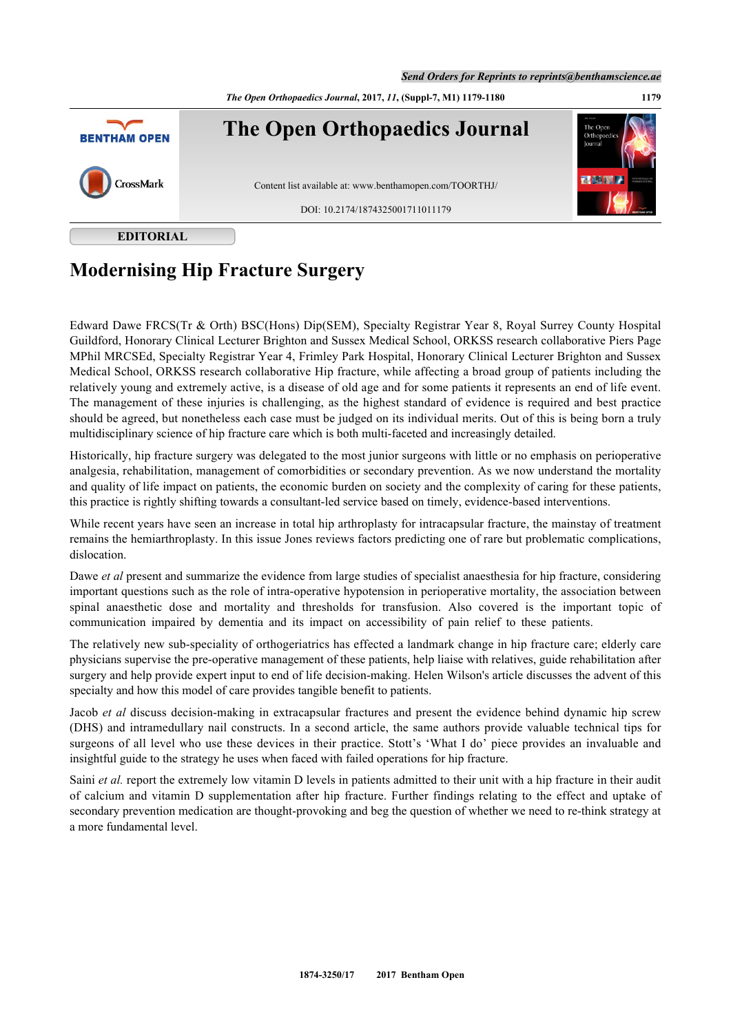*The Open Orthopaedics Journal***, 2017,** *11***, (Suppl-7, M1) 1179-1180 1179**



**EDITORIAL**

## **Modernising Hip Fracture Surgery**

Edward Dawe FRCS(Tr & Orth) BSC(Hons) Dip(SEM), Specialty Registrar Year 8, Royal Surrey County Hospital Guildford, Honorary Clinical Lecturer Brighton and Sussex Medical School, ORKSS research collaborative Piers Page MPhil MRCSEd, Specialty Registrar Year 4, Frimley Park Hospital, Honorary Clinical Lecturer Brighton and Sussex Medical School, ORKSS research collaborative Hip fracture, while affecting a broad group of patients including the relatively young and extremely active, is a disease of old age and for some patients it represents an end of life event. The management of these injuries is challenging, as the highest standard of evidence is required and best practice should be agreed, but nonetheless each case must be judged on its individual merits. Out of this is being born a truly multidisciplinary science of hip fracture care which is both multi-faceted and increasingly detailed.

Historically, hip fracture surgery was delegated to the most junior surgeons with little or no emphasis on perioperative analgesia, rehabilitation, management of comorbidities or secondary prevention. As we now understand the mortality and quality of life impact on patients, the economic burden on society and the complexity of caring for these patients, this practice is rightly shifting towards a consultant-led service based on timely, evidence-based interventions.

While recent years have seen an increase in total hip arthroplasty for intracapsular fracture, the mainstay of treatment remains the hemiarthroplasty. In this issue Jones reviews factors predicting one of rare but problematic complications, dislocation.

Dawe *et al* present and summarize the evidence from large studies of specialist anaesthesia for hip fracture, considering important questions such as the role of intra-operative hypotension in perioperative mortality, the association between spinal anaesthetic dose and mortality and thresholds for transfusion. Also covered is the important topic of communication impaired by dementia and its impact on accessibility of pain relief to these patients.

The relatively new sub-speciality of orthogeriatrics has effected a landmark change in hip fracture care; elderly care physicians supervise the pre-operative management of these patients, help liaise with relatives, guide rehabilitation after surgery and help provide expert input to end of life decision-making. Helen Wilson's article discusses the advent of this specialty and how this model of care provides tangible benefit to patients.

Jacob *et al* discuss decision-making in extracapsular fractures and present the evidence behind dynamic hip screw (DHS) and intramedullary nail constructs. In a second article, the same authors provide valuable technical tips for surgeons of all level who use these devices in their practice. Stott's 'What I do' piece provides an invaluable and insightful guide to the strategy he uses when faced with failed operations for hip fracture.

Saini *et al.* report the extremely low vitamin D levels in patients admitted to their unit with a hip fracture in their audit of calcium and vitamin D supplementation after hip fracture. Further findings relating to the effect and uptake of secondary prevention medication are thought-provoking and beg the question of whether we need to re-think strategy at a more fundamental level.